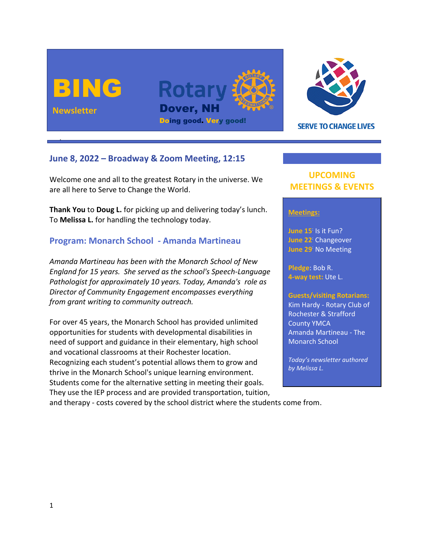



**SERVE TO CHANGE LIVES** 

## **June 8, 2022 – Broadway & Zoom Meeting, 12:15**

Welcome one and all to the greatest Rotary in the universe. We are all here to Serve to Change the World.

**Thank You** to **Doug L.** for picking up and delivering today's lunch. To **Melissa L.** for handling the technology today.

# **Program: Monarch School - Amanda Martineau**

*Amanda Martineau has been with the Monarch School of New England for 15 years. She served as the school's Speech-Language Pathologist for approximately 10 years. Today, Amanda's role as Director of Community Engagement encompasses everything from grant writing to community outreach.* 

For over 45 years, the Monarch School has provided unlimited opportunities for students with developmental disabilities in need of support and guidance in their elementary, high school and vocational classrooms at their Rochester location. Recognizing each student's potential allows them to grow and thrive in the Monarch School's unique learning environment. Students come for the alternative setting in meeting their goals. They use the IEP process and are provided transportation, tuition,

# **UPCOMING MEETINGS & EVENTS**

#### **Meetings:**

**June 15**: Is it Fun? **June 22**: Changeover **June 29**: No Meeting

**Pledge**: Bob R. **4-way test:** Ute L.

#### **Guests/visiting Rotarians:**

Kim Hardy - Rotary Club of Rochester & Strafford County YMCA Amanda Martineau - The Monarch School

*Today's newsletter authored by Melissa L.*

and therapy - costs covered by the school district where the students come from.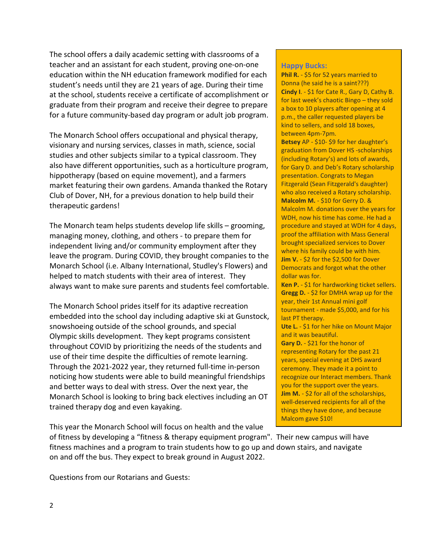The school offers a daily academic setting with classrooms of a teacher and an assistant for each student, proving one-on-one education within the NH education framework modified for each student's needs until they are 21 years of age. During their time at the school, students receive a certificate of accomplishment or graduate from their program and receive their degree to prepare for a future community-based day program or adult job program.

The Monarch School offers occupational and physical therapy, visionary and nursing services, classes in math, science, social studies and other subjects similar to a typical classroom. They also have different opportunities, such as a horticulture program, hippotherapy (based on equine movement), and a farmers market featuring their own gardens. Amanda thanked the Rotary Club of Dover, NH, for a previous donation to help build their therapeutic gardens!

The Monarch team helps students develop life skills – grooming, managing money, clothing, and others - to prepare them for independent living and/or community employment after they leave the program. During COVID, they brought companies to the Monarch School (i.e. Albany International, Studley's Flowers) and helped to match students with their area of interest. They always want to make sure parents and students feel comfortable.

The Monarch School prides itself for its adaptive recreation embedded into the school day including adaptive ski at Gunstock, snowshoeing outside of the school grounds, and special Olympic skills development. They kept programs consistent throughout COVID by prioritizing the needs of the students and use of their time despite the difficulties of remote learning. Through the 2021-2022 year, they returned full-time in-person noticing how students were able to build meaningful friendships and better ways to deal with stress. Over the next year, the Monarch School is looking to bring back electives including an OT trained therapy dog and even kayaking.

This year the Monarch School will focus on health and the value

of fitness by developing a "fitness & therapy equipment program". Their new campus will have fitness machines and a program to train students how to go up and down stairs, and navigate on and off the bus. They expect to break ground in August 2022.

Questions from our Rotarians and Guests:

#### **Happy Bucks:**

**Phil R.** - \$5 for 52 years married to Donna (he said he is a saint???) **Cindy I**. - \$1 for Cate R., Gary D, Cathy B. for last week's chaotic Bingo – they sold a box to 10 players after opening at 4 p.m., the caller requested players be kind to sellers, and sold 18 boxes, between 4pm-7pm.

**Betsey** AP - \$10- \$9 for her daughter's graduation from Dover HS -scholarships (including Rotary's) and lots of awards, for Gary D. and Deb's Rotary scholarship presentation. Congrats to Megan Fitzgerald (Sean Fitzgerald's daughter) who also received a Rotary scholarship. **Malcolm M.** - \$10 for Gerry D. & Malcolm M. donations over the years for WDH, now his time has come. He had a procedure and stayed at WDH for 4 days, proof the affiliation with Mass General brought specialized services to Dover where his family could be with him. **Jim V.** - \$2 for the \$2,500 for Dover Democrats and forgot what the other dollar was for.

**Ken P.** - \$1 for hardworking ticket sellers. **Gregg D.** - \$2 for DMHA wrap up for the year, their 1st Annual mini golf tournament - made \$5,000, and for his last PT therapy.

**Ute L.** - \$1 for her hike on Mount Major and it was beautiful.

**Gary D.** - \$21 for the honor of representing Rotary for the past 21 years, special evening at DHS award ceremony. They made it a point to recognize our Interact members. Thank you for the support over the years. **Jim M.** - \$2 for all of the scholarships, well-deserved recipients for all of the things they have done, and because Malcom gave \$10!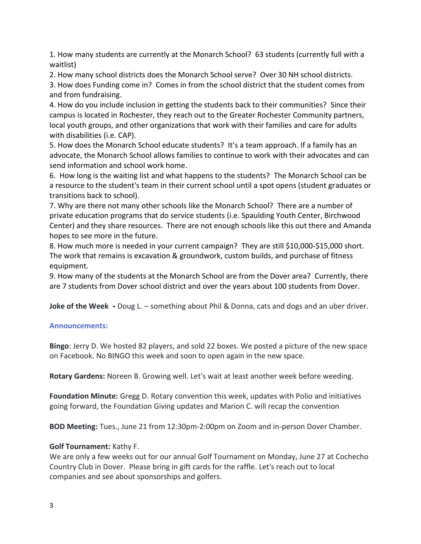1. How many students are currently at the Monarch School? 63 students (currently full with a waitlist)

2. How many school districts does the Monarch School serve? Over 30 NH school districts.

3. How does Funding come in? Comes in from the school district that the student comes from and from fundraising.

4. How do you include inclusion in getting the students back to their communities? Since their campus is located in Rochester, they reach out to the Greater Rochester Community partners, local youth groups, and other organizations that work with their families and care for adults with disabilities (i.e. CAP).

5. How does the Monarch School educate students? It's a team approach. If a family has an advocate, the Monarch School allows families to continue to work with their advocates and can send information and school work home.

6. How long is the waiting list and what happens to the students? The Monarch School can be a resource to the student's team in their current school until a spot opens (student graduates or transitions back to school).

7. Why are there not many other schools like the Monarch School? There are a number of private education programs that do service students (i.e. Spaulding Youth Center, Birchwood Center) and they share resources. There are not enough schools like this out there and Amanda hopes to see more in the future.

8. How much more is needed in your current campaign? They are still \$10,000-\$15,000 short. The work that remains is excavation & groundwork, custom builds, and purchase of fitness equipment.

9. How many of the students at the Monarch School are from the Dover area? Currently, there are 7 students from Dover school district and over the years about 100 students from Dover.

**Joke of the Week -** Doug L. – something about Phil & Donna, cats and dogs and an uber driver.

### **Announcements:**

**Bingo**: Jerry D. We hosted 82 players, and sold 22 boxes. We posted a picture of the new space on Facebook. No BINGO this week and soon to open again in the new space.

**Rotary Gardens:** Noreen B. Growing well. Let's wait at least another week before weeding.

**Foundation Minute:** Gregg D. Rotary convention this week, updates with Polio and initiatives going forward, the Foundation Giving updates and Marion C. will recap the convention

**BOD Meeting:** Tues., June 21 from 12:30pm-2:00pm on Zoom and in-person Dover Chamber.

### **Golf Tournament:** Kathy F.

We are only a few weeks out for our annual Golf Tournament on Monday, June 27 at Cochecho Country Club in Dover. Please bring in gift cards for the raffle. Let's reach out to local companies and see about sponsorships and golfers.